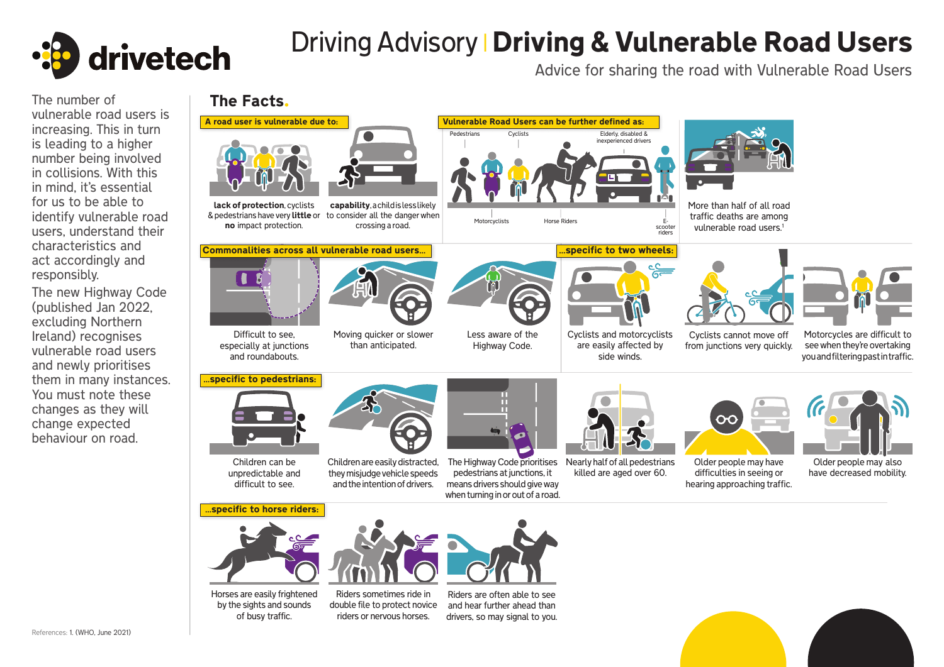

## Driving Advisory **| Driving & Vulnerable Road Users**

Advice for sharing the road with Vulnerable Road Users

## increasing. This in turn is leading to a higher number being involved in collisions. With this in mind, it's essential for us to be able to identify vulnerable road users, understand their characteristics and act accordingly and responsibly.

The new Highway Code (published Jan 2022, excluding Northern Ireland) recognises vulnerable road users and newly prioritises them in many instances. You must note these changes as they will change expected behaviour on road.